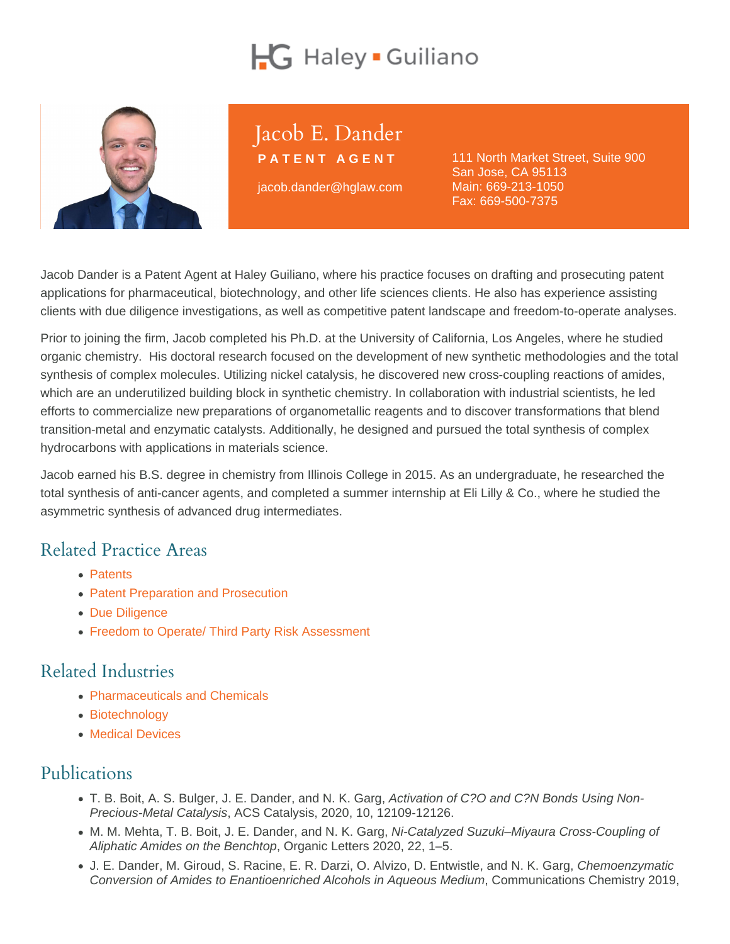# Jacob E. Dander

PATENT AGENT

jacob.dander@hglaw.com

111 North Market Street, Suite 900 San Jose, CA 95113 Main: [669-213-1050](tel:+1-669-213-1050) Fax: 669-500-7375

Jacob Dander is a Patent Agent at Haley Guiliano, where his practice focuses on drafting and prosecuting patent applications for pharmaceutical, biotechnology, and other life sciences clients. He also has experience assisting clients with due diligence investigations, as well as competitive patent landscape and freedom-to-operate analyses.

Prior to joining the firm, Jacob completed his Ph.D. at the University of California, Los Angeles, where he studied organic chemistry. His doctoral research focused on the development of new synthetic methodologies and the total synthesis of complex molecules. Utilizing nickel catalysis, he discovered new cross-coupling reactions of amides, which are an underutilized building block in synthetic chemistry. In collaboration with industrial scientists, he led efforts to commercialize new preparations of organometallic reagents and to discover transformations that blend transition-metal and enzymatic catalysts. Additionally, he designed and pursued the total synthesis of complex hydrocarbons with applications in materials science.

Jacob earned his B.S. degree in chemistry from Illinois College in 2015. As an undergraduate, he researched the total synthesis of anti-cancer agents, and completed a summer internship at Eli Lilly & Co., where he studied the asymmetric synthesis of advanced drug intermediates.

## Related Practice Areas

- [Patents](https://www.hglaw.com/practice-areas/patents/)
- [Patent Preparation and Prosecution](https://www.hglaw.com/practice-areas/patents/patent-preparation-prosecution/)
- [Due Diligence](https://www.hglaw.com/practice-areas/strategic-counseling/due-diligence/)
- [Freedom to Operate/ Third Party Risk Assessment](https://www.hglaw.com/practice-areas/strategic-counseling/freedom-to-operate-third-party-risk-assessment/)

#### Related Industries

- [Pharmaceuticals and Chemicals](https://www.hglaw.com/industries/pharmaceuticals-chemicals/)
- [Biotechnology](https://www.hglaw.com/industries/biotechnology/)
- [Medical Devices](https://www.hglaw.com/industries/medical-devices/)

### Publications

- T. B. Boit, A. S. Bulger, J. E. Dander, and N. K. Garg, Activation of C?O and C?N Bonds Using Non-Precious-Metal Catalysis, ACS Catalysis, 2020, 10, 12109-12126.
- M. M. Mehta, T. B. Boit, J. E. Dander, and N. K. Garg, Ni-Catalyzed Suzuki–Miyaura Cross-Coupling of Aliphatic Amides on the Benchtop, Organic Letters 2020, 22, 1–5.
- J. E. Dander, M. Giroud, S. Racine, E. R. Darzi, O. Alvizo, D. Entwistle, and N. K. Garg, Chemoenzymatic Conversion of Amides to Enantioenriched Alcohols in Aqueous Medium, Communications Chemistry 2019,